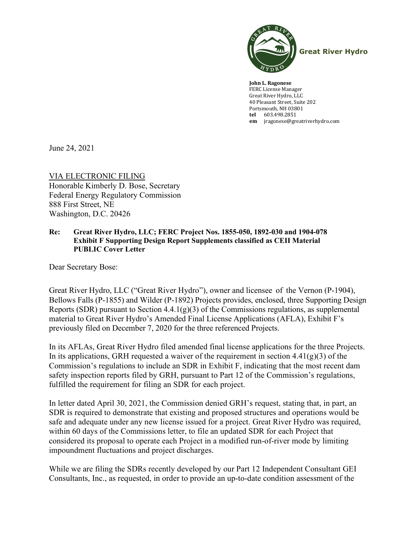

**John L. Ragonese** FERC License Manager Great River Hydro, LLC 40 Pleasant Street, Suite 202 Portsmouth, NH 03801 **tel** 603.498.2851 **em** jragonese@greatriverhydro.com

June 24, 2021

VIA ELECTRONIC FILING Honorable Kimberly D. Bose, Secretary Federal Energy Regulatory Commission 888 First Street, NE Washington, D.C. 20426

## **Re: Great River Hydro, LLC; FERC Project Nos. 1855-050, 1892-030 and 1904-078 Exhibit F Supporting Design Report Supplements classified as CEII Material PUBLIC Cover Letter**

Dear Secretary Bose:

Great River Hydro, LLC ("Great River Hydro"), owner and licensee of the Vernon (P-1904), Bellows Falls (P-1855) and Wilder (P-1892) Projects provides, enclosed, three Supporting Design Reports (SDR) pursuant to Section  $4.4.1(g)(3)$  of the Commissions regulations, as supplemental material to Great River Hydro's Amended Final License Applications (AFLA), Exhibit F's previously filed on December 7, 2020 for the three referenced Projects.

In its AFLAs, Great River Hydro filed amended final license applications for the three Projects. In its applications, GRH requested a waiver of the requirement in section  $4.41(g)(3)$  of the Commission's regulations to include an SDR in Exhibit F, indicating that the most recent dam safety inspection reports filed by GRH, pursuant to Part 12 of the Commission's regulations, fulfilled the requirement for filing an SDR for each project.

In letter dated April 30, 2021, the Commission denied GRH's request, stating that, in part, an SDR is required to demonstrate that existing and proposed structures and operations would be safe and adequate under any new license issued for a project. Great River Hydro was required, within 60 days of the Commissions letter, to file an updated SDR for each Project that considered its proposal to operate each Project in a modified run-of-river mode by limiting impoundment fluctuations and project discharges.

While we are filing the SDRs recently developed by our Part 12 Independent Consultant GEI Consultants, Inc., as requested, in order to provide an up-to-date condition assessment of the